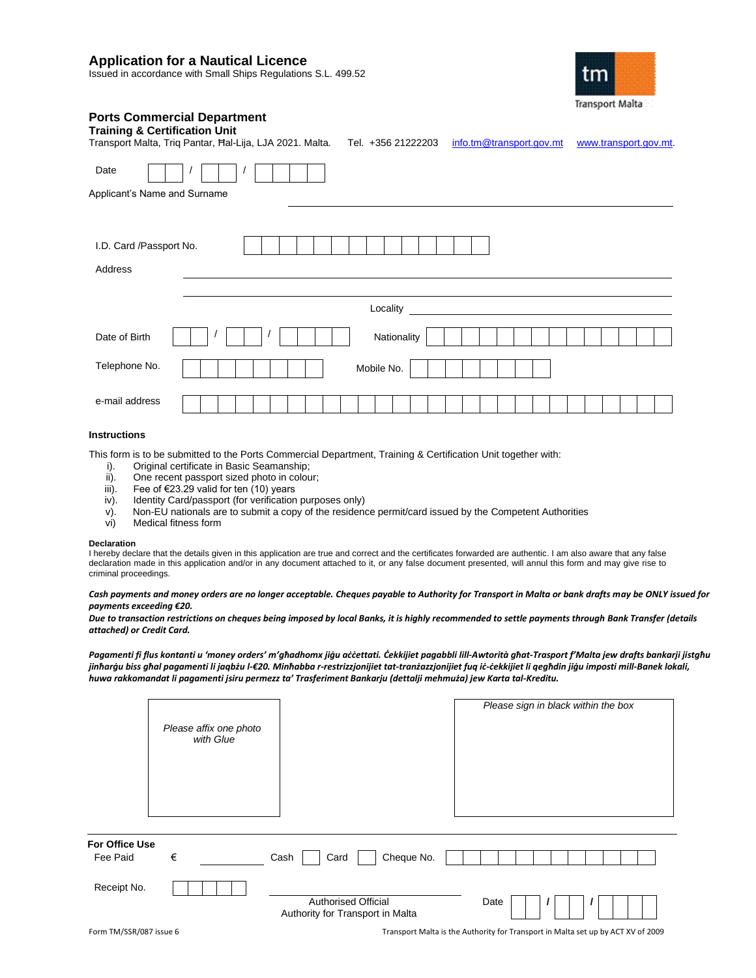# **Application for a Nautical Licence**

Issued in accordance with Small Ships Regulations S.L. 499.52



# **Ports Commercial Department**

| <b>Training &amp; Certification Unit</b><br>Transport Malta, Triq Pantar, Hal-Lija, LJA 2021. Malta. | info.tm@transport.gov.mt<br>Tel. +356 21222203<br>www.transport.gov.mt. |
|------------------------------------------------------------------------------------------------------|-------------------------------------------------------------------------|
| Date                                                                                                 |                                                                         |
| Applicant's Name and Surname                                                                         |                                                                         |
| I.D. Card /Passport No.<br>Address                                                                   |                                                                         |
|                                                                                                      | Locality                                                                |
| Date of Birth                                                                                        | Nationality                                                             |
| Telephone No.                                                                                        | Mobile No.                                                              |
| e-mail address                                                                                       |                                                                         |

# **Instructions**

This form is to be submitted to the Ports Commercial Department, Training & Certification Unit together with:

- 
- i). Original certificate in Basic Seamanship;<br>ii). One recent passport sized photo in colou ii). One recent passport sized photo in colour;<br>iii). Fee of  $\epsilon$ 23.29 valid for ten (10) years
- Fee of €23.29 valid for ten (10) years
- iv). Identity Card/passport (for verification purposes only)
- v). Non-EU nationals are to submit a copy of the residence permit/card issued by the Competent Authorities vi)
- Medical fitness form

#### **Declaration**

I hereby declare that the details given in this application are true and correct and the certificates forwarded are authentic. I am also aware that any false declaration made in this application and/or in any document attached to it, or any false document presented, will annul this form and may give rise to criminal proceedings.

#### *Cash payments and money orders are no longer acceptable. Cheques payable to Authority for Transport in Malta or bank drafts may be ONLY issued for payments exceeding €20.*

*Due to transaction restrictions on cheques being imposed by local Banks, it is highly recommended to settle payments through Bank Transfer (details attached) or Credit Card.*

*Pagamenti fi flus kontanti u 'money orders' m'għadhomx jiġu aċċettati. Ċekkijiet pagabbli lill-Awtorità għat-Trasport f'Malta jew drafts bankarji jistgħu jinħarġu biss għal pagamenti li jaqbżu l-€20. Minħabba r-restrizzjonijiet tat-tranżazzjonijiet fuq iċ-ċekkijiet li qegħdin jiġu imposti mill-Banek lokali, huwa rakkomandat li pagamenti jsiru permezz ta' Trasferiment Bankarju (dettalji mehmuża) jew Karta tal-Kreditu.*

|                            | Please affix one photo<br>with Glue |                                                                | Please sign in black within the box |
|----------------------------|-------------------------------------|----------------------------------------------------------------|-------------------------------------|
| For Office Use<br>Fee Paid | €                                   | Cheque No.<br>Cash<br>Card                                     |                                     |
| Receipt No.                |                                     | <b>Authorised Official</b><br>Authority for Transport in Malta | Date                                |
| $   +$ $      -$           |                                     |                                                                | .                                   |

Form TM/SSR/087 issue 6 Transport Malta is the Authority for Transport in Malta set up by ACT XV of 2009